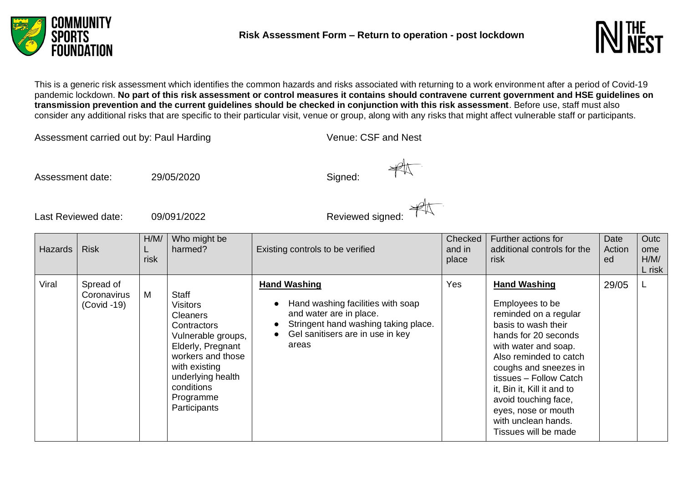



This is a generic risk assessment which identifies the common hazards and risks associated with returning to a work environment after a period of Covid-19 pandemic lockdown. **No part of this risk assessment or control measures it contains should contravene current government and HSE guidelines on transmission prevention and the current guidelines should be checked in conjunction with this risk assessment**. Before use, staff must also consider any additional risks that are specific to their particular visit, venue or group, along with any risks that might affect vulnerable staff or participants.

Assessment carried out by: Paul Harding Venue: CSF and Nest

Assessment date:  $29/05/2020$  Signed:

Assessment date: 29/05/2020<br>
Last Reviewed date: 09/091/2022 Reviewed signed:

| <b>Hazards</b> | <b>Risk</b>                               | H/M/<br>risk | Who might be<br>harmed?                                                                                                                                                                                     | Existing controls to be verified                                                                                                                                         | Checked<br>and in<br>place | Further actions for<br>additional controls for the<br>risk                                                                                                                                                                                                                                                                                      | Date<br>Action<br>ed | Outc<br>ome<br>H/M/<br>L risk |
|----------------|-------------------------------------------|--------------|-------------------------------------------------------------------------------------------------------------------------------------------------------------------------------------------------------------|--------------------------------------------------------------------------------------------------------------------------------------------------------------------------|----------------------------|-------------------------------------------------------------------------------------------------------------------------------------------------------------------------------------------------------------------------------------------------------------------------------------------------------------------------------------------------|----------------------|-------------------------------|
| Viral          | Spread of<br>Coronavirus<br>$(Covid -19)$ | M            | <b>Staff</b><br>Visitors<br><b>Cleaners</b><br>Contractors<br>Vulnerable groups,<br>Elderly, Pregnant<br>workers and those<br>with existing<br>underlying health<br>conditions<br>Programme<br>Participants | <b>Hand Washing</b><br>Hand washing facilities with soap<br>and water are in place.<br>Stringent hand washing taking place.<br>Gel sanitisers are in use in key<br>areas | Yes                        | <b>Hand Washing</b><br>Employees to be<br>reminded on a regular<br>basis to wash their<br>hands for 20 seconds<br>with water and soap.<br>Also reminded to catch<br>coughs and sneezes in<br>tissues - Follow Catch<br>it, Bin it, Kill it and to<br>avoid touching face,<br>eyes, nose or mouth<br>with unclean hands.<br>Tissues will be made | 29/05                |                               |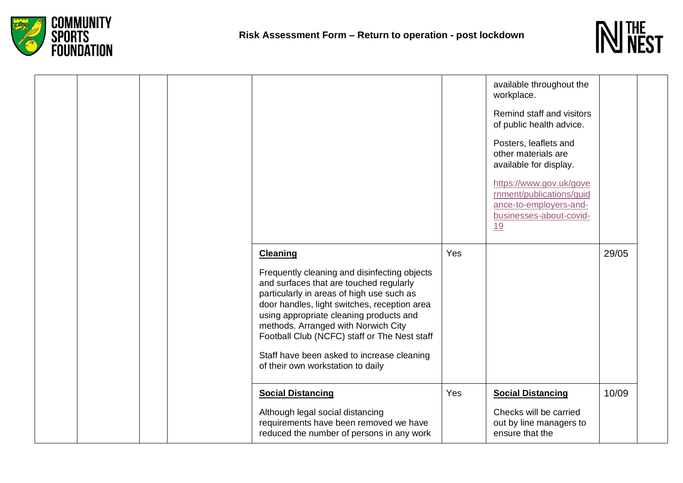



|  |  |                                                                                                                                                                                                                                                                                                                                                                                                                              |     | available throughout the<br>workplace.<br>Remind staff and visitors<br>of public health advice.<br>Posters, leaflets and<br>other materials are<br>available for display.<br>https://www.gov.uk/gove<br>rnment/publications/guid<br>ance-to-employers-and-<br>businesses-about-covid-<br><u>19</u> |       |
|--|--|------------------------------------------------------------------------------------------------------------------------------------------------------------------------------------------------------------------------------------------------------------------------------------------------------------------------------------------------------------------------------------------------------------------------------|-----|----------------------------------------------------------------------------------------------------------------------------------------------------------------------------------------------------------------------------------------------------------------------------------------------------|-------|
|  |  | <b>Cleaning</b><br>Frequently cleaning and disinfecting objects<br>and surfaces that are touched regularly<br>particularly in areas of high use such as<br>door handles, light switches, reception area<br>using appropriate cleaning products and<br>methods. Arranged with Norwich City<br>Football Club (NCFC) staff or The Nest staff<br>Staff have been asked to increase cleaning<br>of their own workstation to daily | Yes |                                                                                                                                                                                                                                                                                                    | 29/05 |
|  |  | <b>Social Distancing</b><br>Although legal social distancing<br>requirements have been removed we have<br>reduced the number of persons in any work                                                                                                                                                                                                                                                                          | Yes | <b>Social Distancing</b><br>Checks will be carried<br>out by line managers to<br>ensure that the                                                                                                                                                                                                   | 10/09 |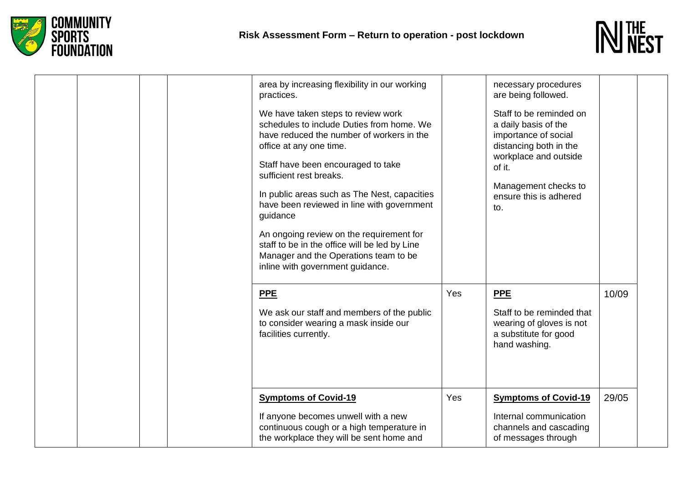



| area by increasing flexibility in our working<br>practices.                                                                                                                                                                                                                                                                        |     | necessary procedures<br>are being followed.                                                                                                                                                   |       |
|------------------------------------------------------------------------------------------------------------------------------------------------------------------------------------------------------------------------------------------------------------------------------------------------------------------------------------|-----|-----------------------------------------------------------------------------------------------------------------------------------------------------------------------------------------------|-------|
| We have taken steps to review work<br>schedules to include Duties from home. We<br>have reduced the number of workers in the<br>office at any one time.<br>Staff have been encouraged to take<br>sufficient rest breaks.<br>In public areas such as The Nest, capacities<br>have been reviewed in line with government<br>guidance |     | Staff to be reminded on<br>a daily basis of the<br>importance of social<br>distancing both in the<br>workplace and outside<br>of it.<br>Management checks to<br>ensure this is adhered<br>to. |       |
| An ongoing review on the requirement for<br>staff to be in the office will be led by Line<br>Manager and the Operations team to be<br>inline with government guidance.                                                                                                                                                             |     |                                                                                                                                                                                               |       |
| <b>PPE</b>                                                                                                                                                                                                                                                                                                                         | Yes | <b>PPE</b>                                                                                                                                                                                    | 10/09 |
| We ask our staff and members of the public<br>to consider wearing a mask inside our<br>facilities currently.                                                                                                                                                                                                                       |     | Staff to be reminded that<br>wearing of gloves is not<br>a substitute for good<br>hand washing.                                                                                               |       |
| <b>Symptoms of Covid-19</b>                                                                                                                                                                                                                                                                                                        | Yes | <b>Symptoms of Covid-19</b>                                                                                                                                                                   | 29/05 |
| If anyone becomes unwell with a new<br>continuous cough or a high temperature in<br>the workplace they will be sent home and                                                                                                                                                                                                       |     | Internal communication<br>channels and cascading<br>of messages through                                                                                                                       |       |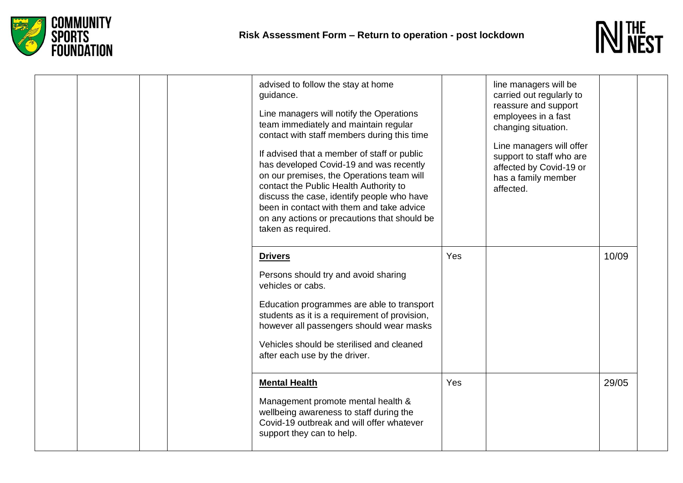



| advised to follow the stay at home<br>guidance.<br>Line managers will notify the Operations<br>team immediately and maintain regular<br>contact with staff members during this time<br>If advised that a member of staff or public<br>has developed Covid-19 and was recently<br>on our premises, the Operations team will<br>contact the Public Health Authority to<br>discuss the case, identify people who have<br>been in contact with them and take advice<br>on any actions or precautions that should be<br>taken as required. |     | line managers will be<br>carried out regularly to<br>reassure and support<br>employees in a fast<br>changing situation.<br>Line managers will offer<br>support to staff who are<br>affected by Covid-19 or<br>has a family member<br>affected. |       |
|---------------------------------------------------------------------------------------------------------------------------------------------------------------------------------------------------------------------------------------------------------------------------------------------------------------------------------------------------------------------------------------------------------------------------------------------------------------------------------------------------------------------------------------|-----|------------------------------------------------------------------------------------------------------------------------------------------------------------------------------------------------------------------------------------------------|-------|
| <b>Drivers</b><br>Persons should try and avoid sharing<br>vehicles or cabs.<br>Education programmes are able to transport<br>students as it is a requirement of provision,<br>however all passengers should wear masks<br>Vehicles should be sterilised and cleaned<br>after each use by the driver.                                                                                                                                                                                                                                  | Yes |                                                                                                                                                                                                                                                | 10/09 |
| <b>Mental Health</b><br>Management promote mental health &<br>wellbeing awareness to staff during the<br>Covid-19 outbreak and will offer whatever<br>support they can to help.                                                                                                                                                                                                                                                                                                                                                       | Yes |                                                                                                                                                                                                                                                | 29/05 |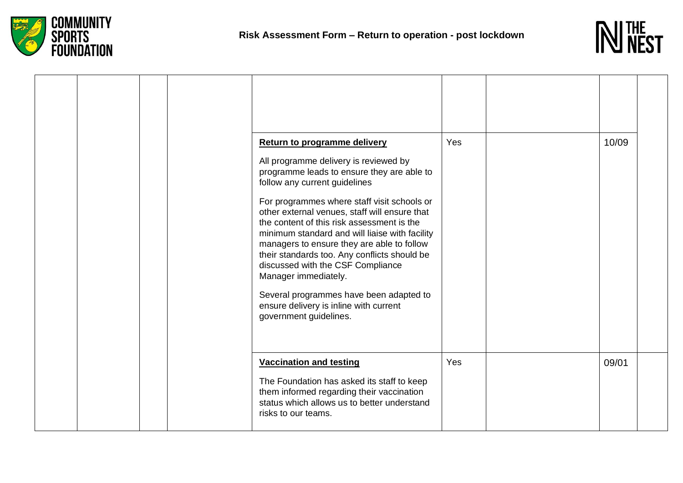



|  |  | <b>Return to programme delivery</b><br>All programme delivery is reviewed by<br>programme leads to ensure they are able to<br>follow any current guidelines<br>For programmes where staff visit schools or<br>other external venues, staff will ensure that<br>the content of this risk assessment is the<br>minimum standard and will liaise with facility<br>managers to ensure they are able to follow<br>their standards too. Any conflicts should be<br>discussed with the CSF Compliance<br>Manager immediately.<br>Several programmes have been adapted to<br>ensure delivery is inline with current<br>government guidelines. | Yes | 10/09 |  |
|--|--|---------------------------------------------------------------------------------------------------------------------------------------------------------------------------------------------------------------------------------------------------------------------------------------------------------------------------------------------------------------------------------------------------------------------------------------------------------------------------------------------------------------------------------------------------------------------------------------------------------------------------------------|-----|-------|--|
|  |  | <b>Vaccination and testing</b><br>The Foundation has asked its staff to keep<br>them informed regarding their vaccination<br>status which allows us to better understand<br>risks to our teams.                                                                                                                                                                                                                                                                                                                                                                                                                                       | Yes | 09/01 |  |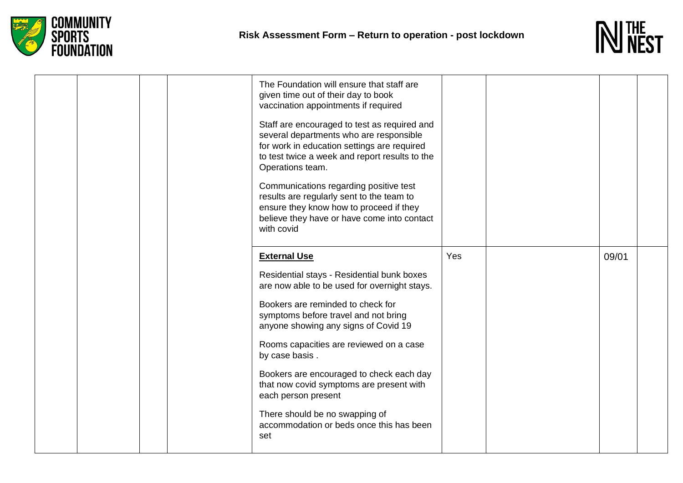



| The Foundation will ensure that staff are<br>given time out of their day to book<br>vaccination appointments if required<br>Staff are encouraged to test as required and<br>several departments who are responsible<br>for work in education settings are required<br>to test twice a week and report results to the<br>Operations team.<br>Communications regarding positive test<br>results are regularly sent to the team to<br>ensure they know how to proceed if they<br>believe they have or have come into contact<br>with covid |     |       |  |
|-----------------------------------------------------------------------------------------------------------------------------------------------------------------------------------------------------------------------------------------------------------------------------------------------------------------------------------------------------------------------------------------------------------------------------------------------------------------------------------------------------------------------------------------|-----|-------|--|
| <b>External Use</b><br>Residential stays - Residential bunk boxes<br>are now able to be used for overnight stays.<br>Bookers are reminded to check for<br>symptoms before travel and not bring<br>anyone showing any signs of Covid 19<br>Rooms capacities are reviewed on a case<br>by case basis.<br>Bookers are encouraged to check each day<br>that now covid symptoms are present with<br>each person present<br>There should be no swapping of<br>accommodation or beds once this has been<br>set                                 | Yes | 09/01 |  |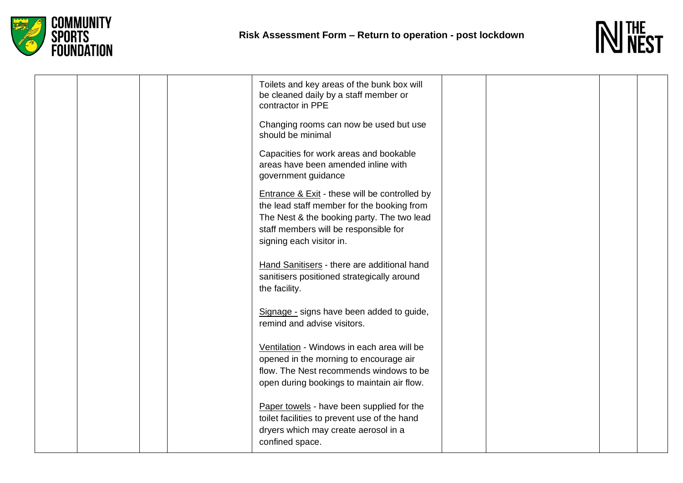



|  | Toilets and key areas of the bunk box will<br>be cleaned daily by a staff member or<br>contractor in PPE                                                                                                                  |  |  |
|--|---------------------------------------------------------------------------------------------------------------------------------------------------------------------------------------------------------------------------|--|--|
|  | Changing rooms can now be used but use<br>should be minimal                                                                                                                                                               |  |  |
|  | Capacities for work areas and bookable<br>areas have been amended inline with<br>government guidance                                                                                                                      |  |  |
|  | <b>Entrance &amp; Exit - these will be controlled by</b><br>the lead staff member for the booking from<br>The Nest & the booking party. The two lead<br>staff members will be responsible for<br>signing each visitor in. |  |  |
|  | Hand Sanitisers - there are additional hand<br>sanitisers positioned strategically around<br>the facility.                                                                                                                |  |  |
|  | Signage - signs have been added to guide,<br>remind and advise visitors.                                                                                                                                                  |  |  |
|  | Ventilation - Windows in each area will be<br>opened in the morning to encourage air<br>flow. The Nest recommends windows to be<br>open during bookings to maintain air flow.                                             |  |  |
|  | Paper towels - have been supplied for the<br>toilet facilities to prevent use of the hand<br>dryers which may create aerosol in a<br>confined space.                                                                      |  |  |